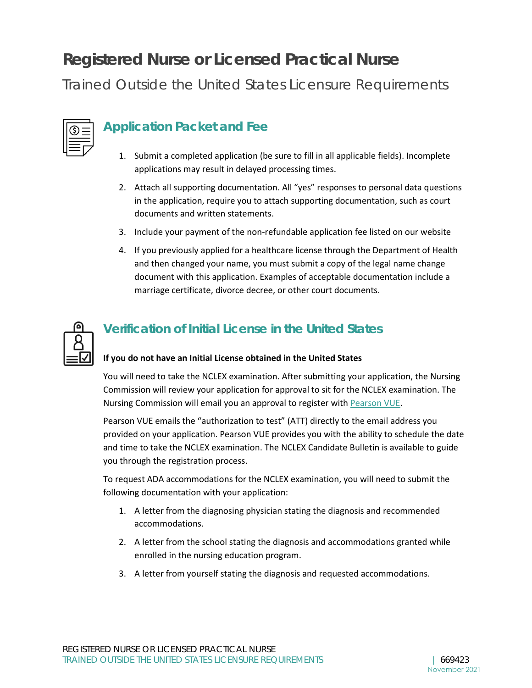# **Registered Nurse or Licensed Practical Nurse**

Trained Outside the United States Licensure Requirements

### **Application Packet and Fee**

- 1. Submit a completed application (be sure to fill in all applicable fields). Incomplete applications may result in delayed processing times.
- 2. Attach all supporting documentation. All "yes" responses to personal data questions in the application, require you to attach supporting documentation, such as court documents and written statements.
- 3. Include your payment of the non-refundable application fee listed on our website
- 4. If you previously applied for a healthcare license through the Department of Health and then changed your name, you must submit a copy of the legal name change document with this application. Examples of acceptable documentation include a marriage certificate, divorce decree, or other court documents.



### **Verification of Initial License in the United States**

#### **If you do not have an Initial License obtained in the United States**

You will need to take the NCLEX examination. After submitting your application, the Nursing Commission will review your application for approval to sit for the NCLEX examination. The Nursing Commission will email you an approval to register with [Pearson VUE.](https://home.pearsonvue.com/test-taker.aspx)

Pearson VUE emails the "authorization to test" (ATT) directly to the email address you provided on your application. Pearson VUE provides you with the ability to schedule the date and time to take the NCLEX examination. The NCLEX Candidate Bulletin is available to guide you through the registration process.

To request ADA accommodations for the NCLEX examination, you will need to submit the following documentation with your application:

- 1. A letter from the diagnosing physician stating the diagnosis and recommended accommodations.
- 2. A letter from the school stating the diagnosis and accommodations granted while enrolled in the nursing education program.
- 3. A letter from yourself stating the diagnosis and requested accommodations.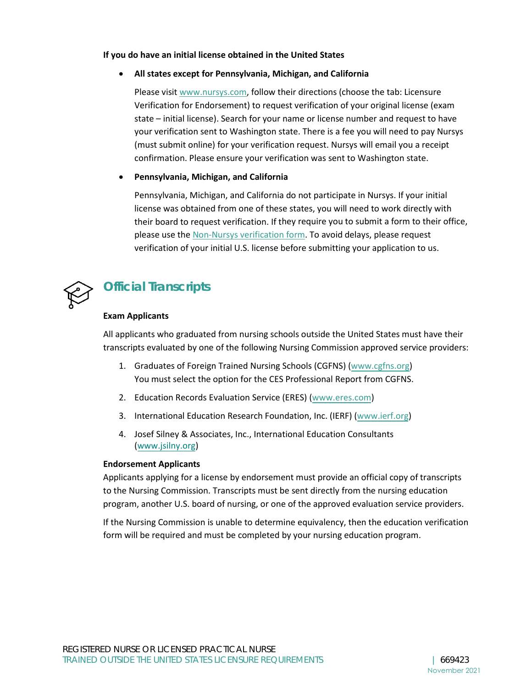#### **If you do have an initial license obtained in the United States**

#### • **All states except for Pennsylvania, Michigan, and California**

Please visi[t www.nursys.com,](http://www.nursys.com/) follow their directions (choose the tab: Licensure Verification for Endorsement) to request verification of your original license (exam state – initial license). Search for your name or license number and request to have your verification sent to Washington state. There is a fee you will need to pay Nursys (must submit online) for your verification request. Nursys will email you a receipt confirmation. Please ensure your verification was sent to Washington state.

#### • **Pennsylvania, Michigan, and California**

Pennsylvania, Michigan, and California do not participate in Nursys. If your initial license was obtained from one of these states, you will need to work directly with their board to request verification. If they require you to submit a form to their office, please use th[e Non-Nursys verification form.](https://www.doh.wa.gov/Portals/1/Documents/Pubs/669218.pdf) To avoid delays, please request verification of your initial U.S. license before submitting your application to us.



### **Official Transcripts**

#### **Exam Applicants**

All applicants who graduated from nursing schools outside the United States must have their transcripts evaluated by one of the following Nursing Commission approved service providers:

- 1. Graduates of Foreign Trained Nursing Schools (CGFNS) [\(www.cgfns.org\)](http://www.cgfns.org/) You must select the option for the CES Professional Report from CGFNS.
- 2. Education Records Evaluation Service (ERES) [\(www.eres.com\)](http://www.eres.com/)
- 3. International Education Research Foundation, Inc. (IERF) [\(www.ierf.org\)](http://www.ierf.org/)
- 4. Josef Silney & Associates, Inc., International Education Consultants (www.jsilny.org)

#### **Endorsement Applicants**

Applicants applying for a license by endorsement must provide an official copy of transcripts to the Nursing Commission. Transcripts must be sent directly from the nursing education program, another U.S. board of nursing, or one of the approved evaluation service providers.

If the Nursing Commission is unable to determine equivalency, then the education verification form will be required and must be completed by your nursing education program.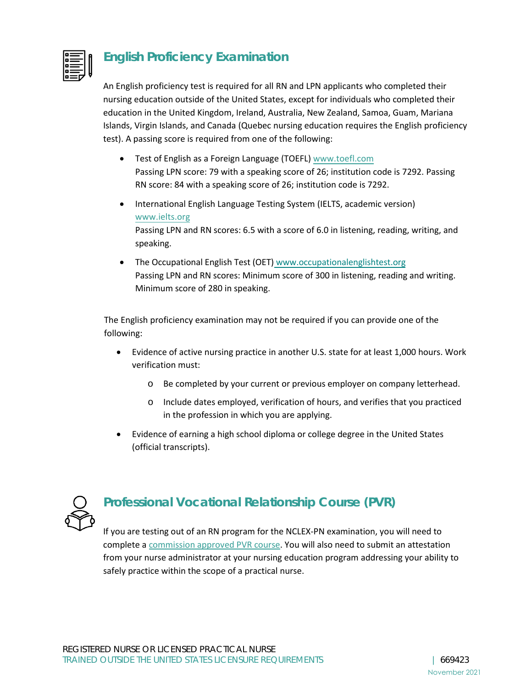

### **English Proficiency Examination**

An English proficiency test is required for all RN and LPN applicants who completed their nursing education outside of the United States, except for individuals who completed their education in the United Kingdom, Ireland, Australia, New Zealand, Samoa, Guam, Mariana Islands, Virgin Islands, and Canada (Quebec nursing education requires the English proficiency test). A passing score is required from one of the following:

- Test of English as a Foreign Language (TOEFL) [www.toefl.com](http://www.toefl.com/) Passing LPN score: 79 with a speaking score of 26; institution code is 7292. Passing RN score: 84 with a speaking score of 26; institution code is 7292.
- International English Language Testing System (IELTS, academic version) [www.ielts.org](http://www.ielts.org/) Passing LPN and RN scores: 6.5 with a score of 6.0 in listening, reading, writing, and speaking.
- The Occupational English Test (OET) www.occupationalenglishtest.org Passing LPN and RN scores: Minimum score of 300 in listening, reading and writing. Minimum score of 280 in speaking.

The English proficiency examination may not be required if you can provide one of the following:

- Evidence of active nursing practice in another U.S. state for at least 1,000 hours. Work verification must:
	- o Be completed by your current or previous employer on company letterhead.
	- o Include dates employed, verification of hours, and verifies that you practiced in the profession in which you are applying.
- Evidence of earning a high school diploma or college degree in the United States (official transcripts).



## **Professional Vocational Relationship Course (PVR)**

If you are testing out of an RN program for the NCLEX-PN examination, you will need to complete a [commission approved PVR course.](https://www.doh.wa.gov/Portals/1/Documents/6000/669405.pdf) You will also need to submit an attestation from your nurse administrator at your nursing education program addressing your ability to safely practice within the scope of a practical nurse.